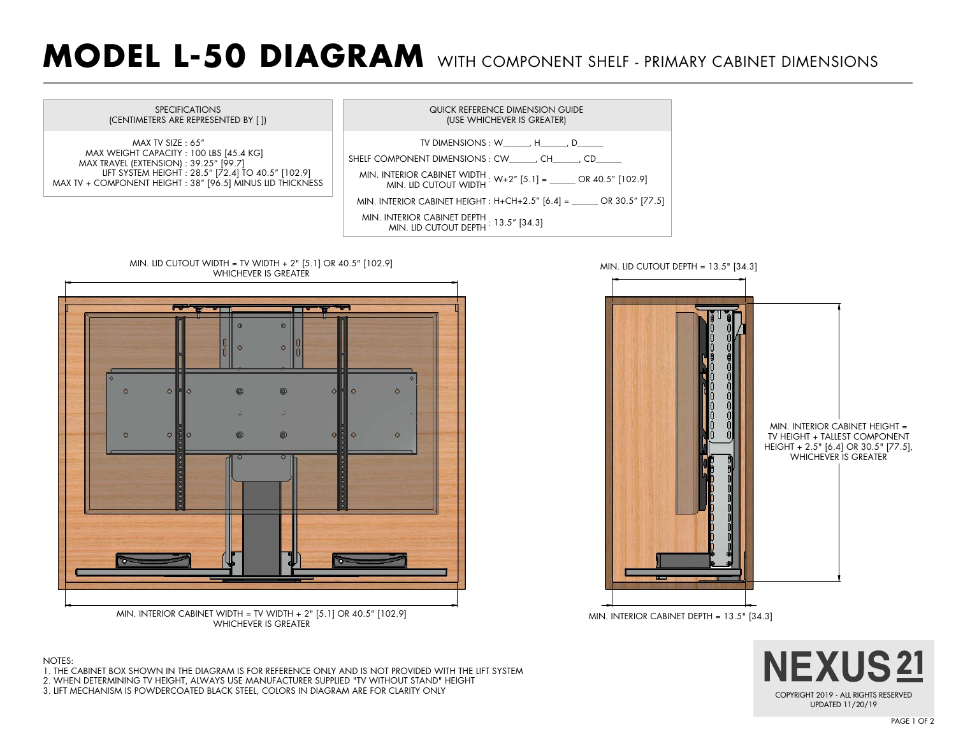## **MODEL L-50 DIAGRAM** WITH COMPONENT SHELF - PRIMARY CABINET DIMENSIONS



 $\circ$ 

 $\circ$ 

l MIN. INTERIOR CABINET DEPTH = 13.5" [34.3] MIN. INTERIOR CABINET HEIGHT = TV HEIGHT + TALLEST COMPONENT HEIGHT + 2.5" [6.4] OR 30.5" [77.5], WHICHEVER IS GREATER MIN. LID CUTOUT DEPTH = 13.5" [34.3]





- 1. THE CABINET BOX SHOWN IN THE DIAGRAM IS FOR REFERENCE ONLY AND IS NOT PROVIDED WITH THE LIFT SYSTEM
- 2. WHEN DETERMINING TV HEIGHT, ALWAYS USE MANUFACTURER SUPPLIED "TV WITHOUT STAND" HEIGHT

MIN. INTERIOR CABINET WIDTH = TV WIDTH + 2" [5.1] OR 40.5" [102.9] WHICHEVER IS GREATER

3. LIFT MECHANISM IS POWDERCOATED BLACK STEEL, COLORS IN DIAGRAM ARE FOR CLARITY ONLY

0

 $\circ$ 

0

PAGE 1 OF 2